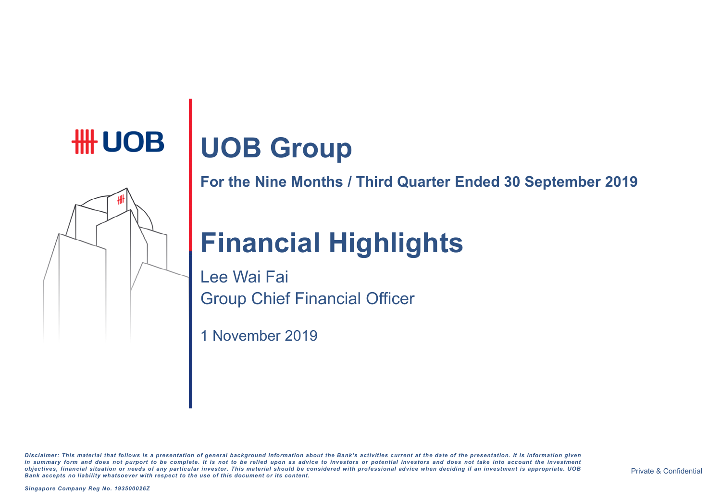# **UOB Group**

**For the Nine Months / Third Quarter Ended 30 September 2019**

# **Financial Highlights**

Lee Wai Fai Group Chief Financial Officer

1 November 2019

Disclaimer: This material that follows is a presentation of general background information about the Bank's activities current at the date of the presentation. It is information given in summary form and does not purport to be complete. It is not to be relied upon as advice to investors or potential investors and does not take into account the investment objectives, financial situation or needs of any particular investor. This material should be considered with professional advice when deciding if an investment is appropriate. UOB *Bank accep ts no liability whatsoever with respect to the use o f this documen t or its con ten t.*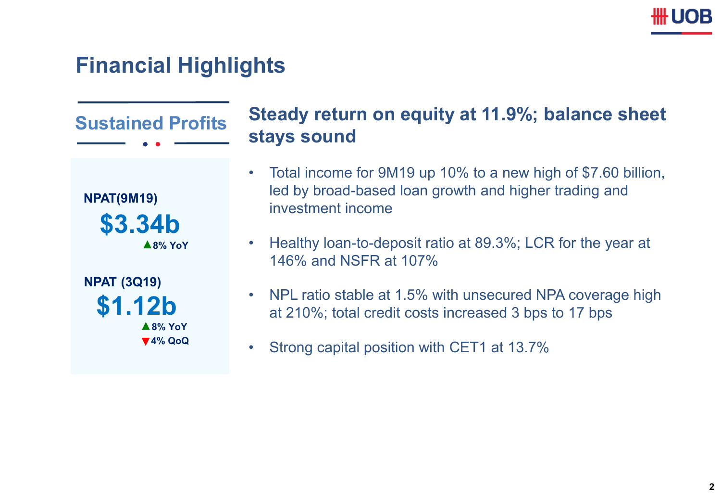# **III UOB**

# **Financial Highlights**

**Sustained Profits NPAT(9M19) 8% YoY \$3.34b 8% YoY \$1.12b NPAT (3Q19) 4% QoQ Steady return on equity at 11.9%; balance sheet stays sound** • Total income for 9M19 up 10% to a new high of \$7.60 billion, led by broad-based loan growth and higher trading and investment income • Healthy loan-to-deposit ratio at 89.3%; LCR for the year at 146% and NSFR at 107% • NPL ratio stable at 1.5% with unsecured NPA coverage high at 210%; total credit costs increased 3 bps to 17 bps • Strong capital position with CET1 at 13.7%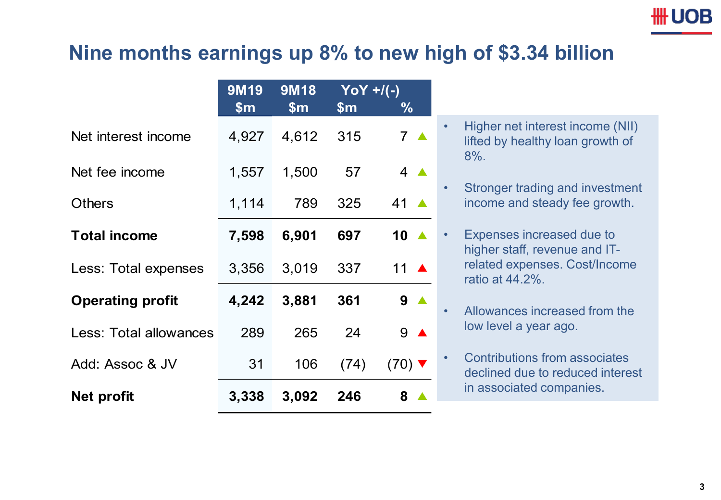## **III UOB**

#### **Nine months earnings up 8% to new high of \$3.34 billion**

|                         | <b>9M19</b>   | <b>9M18</b>   | $YOY + / (-)$ |                             |
|-------------------------|---------------|---------------|---------------|-----------------------------|
|                         | $\mathsf{sm}$ | $\mathsf{Sm}$ | $\mathsf{Sm}$ | $\%$                        |
| Net interest income     | 4,927         | 4,612         | 315           | 7 <sub>A</sub>              |
| Net fee income          | 1,557         | 1,500         | 57            | $4 \triangle$               |
| <b>Others</b>           | 1,114         | 789           | 325           | 41 $\triangle$              |
| <b>Total income</b>     | 7,598         | 6,901         | 697           | 10 $\triangle$              |
| Less: Total expenses    | 3,356         | 3,019         | 337           | 11 $\triangle$              |
| <b>Operating profit</b> | 4,242         | 3,881         | 361           | $9^{\circ}$                 |
| Less: Total allowances  | 289           | 265           | 24            | $9$ $\triangle$             |
| Add: Assoc & JV         | 31            | 106           | (74)          | $(70)$ $\blacktriangledown$ |
| Net profit              | 3,338         | 3,092         | 246           | 8                           |

- Higher net interest income (NII) lifted by healthy loan growth of 8%.
- Stronger trading and investment income and steady fee growth.
- Expenses increased due to higher staff, revenue and ITrelated expenses. Cost/Income ratio at 44.2%.
- Allowances increased from the low level a year ago.
- Contributions from associates declined due to reduced interest in associated companies.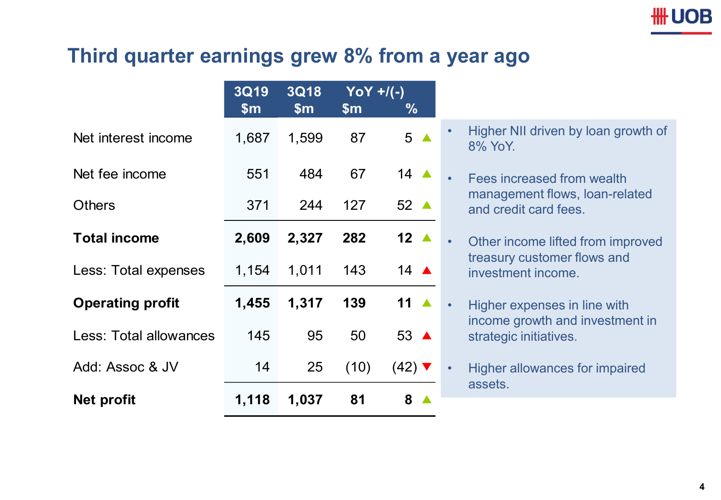## **Third quarter earnings grew 8% from a year ago**

|                               | <b>3Q19</b>   | <b>3Q18</b>   | $YOY + / (-)$ |                     |  |
|-------------------------------|---------------|---------------|---------------|---------------------|--|
|                               | $\mathsf{Sm}$ | $\mathsf{Sm}$ | $\mathsf{Sm}$ | ℅                   |  |
| Net interest income           | 1,687         | 1,599         | 87            | 5 <sub>A</sub>      |  |
| Net fee income                | 551           | 484           | 67            | 14 $\triangle$      |  |
| <b>Others</b>                 | 371           | 244           | 127           | 52 ▲                |  |
| <b>Total income</b>           | 2,609         | 2,327         | 282           | 12 $\blacktriangle$ |  |
| Less: Total expenses          | 1,154         | 1,011         | 143           | 14 $\triangle$      |  |
| <b>Operating profit</b>       | 1,455         | 1,317         | 139           | 11 $\triangle$      |  |
| <b>Less: Total allowances</b> | 145           | 95            | 50            | 53 ▲                |  |
| Add: Assoc & JV               | 14            | 25            | (10)          | (42) ∇              |  |
| Net profit                    | 1,118         | 1,037         | 81            | 8                   |  |

- Higher NII driven by loan growth of 8% YoY.
- Fees increased from wealth management flows, loan-related and credit card fees.
- Other income lifted from improved treasury customer flows and investment income.
- Higher expenses in line with income growth and investment in strategic initiatives.
- Higher allowances for impaired assets.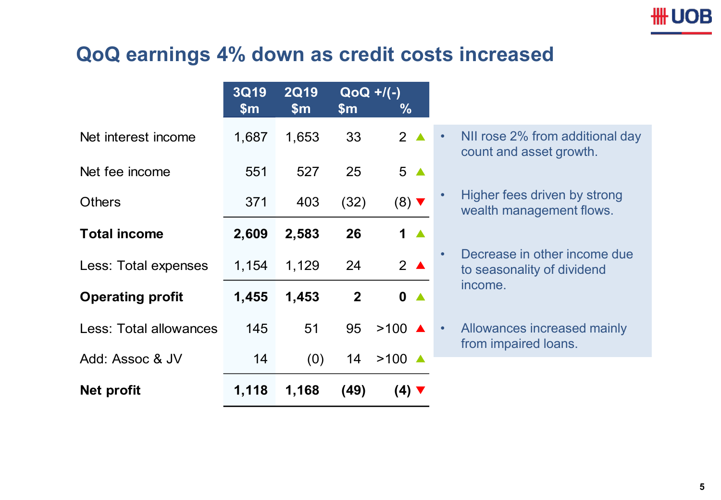## **QoQ earnings 4% down as credit costs increased**

|                         | <b>3Q19</b>   | <b>2Q19</b>   | $QoQ$ +/(-)   |                            |
|-------------------------|---------------|---------------|---------------|----------------------------|
|                         | $\mathsf{Sm}$ | $\mathsf{Sm}$ | $\mathsf{Sm}$ | $\frac{0}{0}$              |
| Net interest income     | 1,687         | 1,653         | 33            | $2^{\triangle}$            |
| Net fee income          | 551           | 527           | 25            | 5 <sub>4</sub>             |
| <b>Others</b>           | 371           | 403           | (32)          | $(8)$ $\blacktriangledown$ |
| <b>Total income</b>     | 2,609         | 2,583         | 26            | 1 <sub>A</sub>             |
| Less: Total expenses    | 1,154         | 1,129         | 24            | $2^{\triangle}$            |
| <b>Operating profit</b> | 1,455         | 1,453         | $\mathbf{2}$  | $\bullet$ $\bullet$        |
| Less: Total allowances  | 145           | 51            | 95            | $>100$ $\triangle$         |
| Add: Assoc & JV         | 14            | (0)           | 14            | $>100$ $\triangle$         |
| <b>Net profit</b>       | 1,118         | 1,168         | (49)          | $(4)$ $\blacktriangledown$ |

- NII rose 2% from additional day count and asset growth.
- Higher fees driven by strong wealth management flows.
- Decrease in other income due to seasonality of dividend income.
- Allowances increased mainly from impaired loans.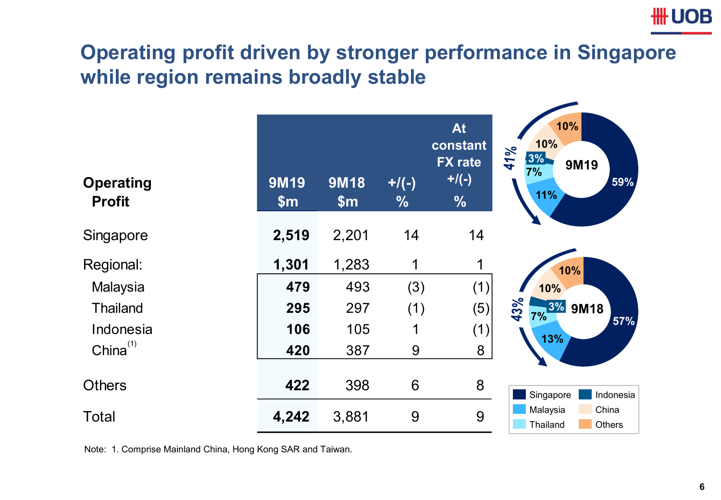# **HH UOB Operating profit driven by stronger performance in Singapore while region remains broadly stable**

| <b>Operating</b><br><b>Profit</b> | <b>9M19</b><br>\$m\$ | <b>9M18</b><br>\$m\$ | $+/(-)$<br>$\frac{0}{0}$ | <b>At</b><br>constant<br><b>FX</b> rate<br>$+$ /(-)<br>$\frac{0}{0}$ | 10%<br>10%<br>41%<br>3%<br>9M19<br>7%<br>59%<br>11% |
|-----------------------------------|----------------------|----------------------|--------------------------|----------------------------------------------------------------------|-----------------------------------------------------|
| Singapore                         | 2,519                | 2,201                | 14                       | 14                                                                   |                                                     |
| Regional:                         | 1,301                | 1,283                | 1                        | 1                                                                    | 10%                                                 |
| Malaysia                          | 479                  | 493                  | (3)                      | (1)                                                                  | 10%                                                 |
| <b>Thailand</b>                   | 295                  | 297                  | (1)                      | (5)                                                                  | 43%<br>3% 9M18<br>7%                                |
| Indonesia                         | 106                  | 105                  | 1                        | (1)                                                                  | 57%<br>13%                                          |
| $China^{(1)}$                     | 420                  | 387                  | 9                        | 8                                                                    |                                                     |
| <b>Others</b>                     | 422                  | 398                  | 6                        | 8                                                                    | Singapore<br>Indonesia                              |
| <b>Total</b>                      | 4,242                | 3,881                | 9                        | 9                                                                    | Malaysia<br>China<br>Thailand<br>Others             |

Note: 1. Comprise Mainland China, Hong Kong SAR and Taiwan.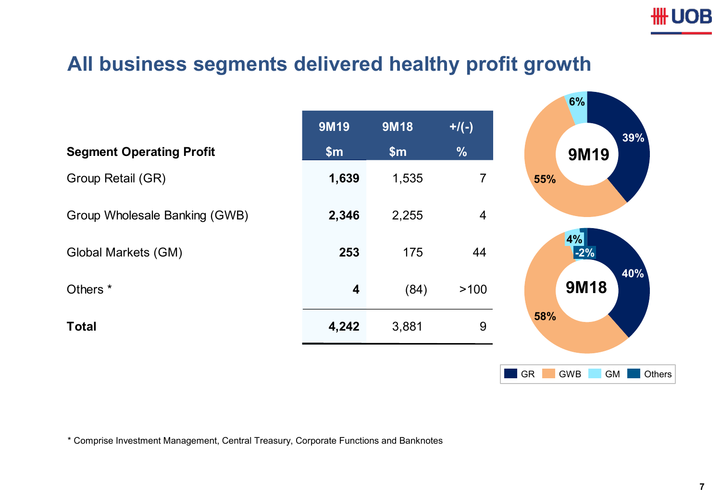

**6%**

#### **All business segments delivered healthy profit growth**

|                                 |             |             |                | <b>O</b> 70                      |
|---------------------------------|-------------|-------------|----------------|----------------------------------|
|                                 | <b>9M19</b> | <b>9M18</b> | $+$ /(-)       | 39%                              |
| <b>Segment Operating Profit</b> | \$m\$       | \$m\$       | $\frac{9}{6}$  | <b>9M19</b>                      |
| Group Retail (GR)               | 1,639       | 1,535       | $\overline{7}$ | 55%                              |
| Group Wholesale Banking (GWB)   | 2,346       | 2,255       | $\overline{4}$ |                                  |
| <b>Global Markets (GM)</b>      | 253         | 175         | 44             | 4%<br>$-2%$<br>40%               |
| Others <sup>*</sup>             | 4           | (84)        | >100           | <b>9M18</b>                      |
| <b>Total</b>                    | 4,242       | 3,881       | 9              | 58%                              |
|                                 |             |             |                | <b>GR</b><br>GWB<br>GM<br>Others |

\* Comprise Investment Management, Central Treasury, Corporate Functions and Banknotes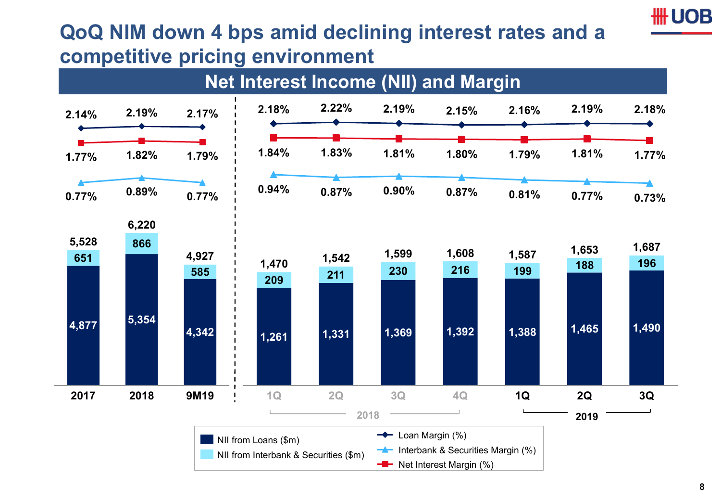# **QoQ NIM down 4 bps amid declining interest rates and a competitive pricing environment**



**III UOB**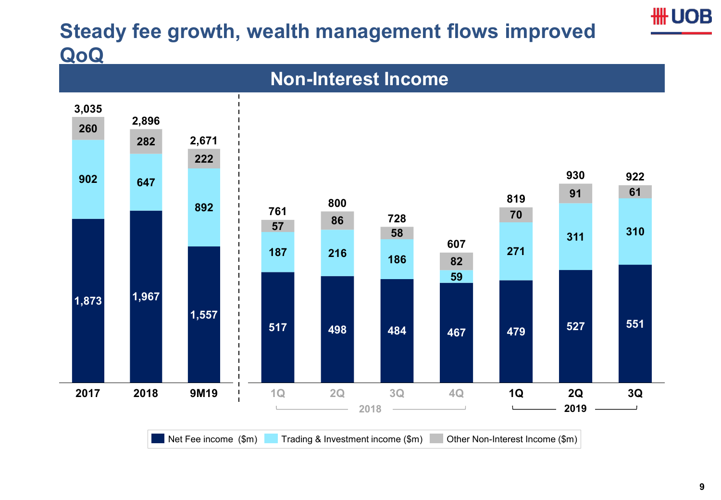# **Steady fee growth, wealth management flows improved QoQ**



**\# UOB**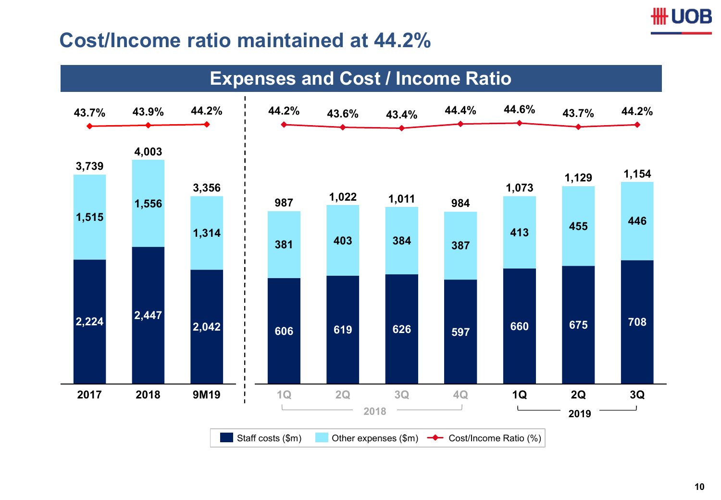#### **Cost/Income ratio maintained at 44.2%**

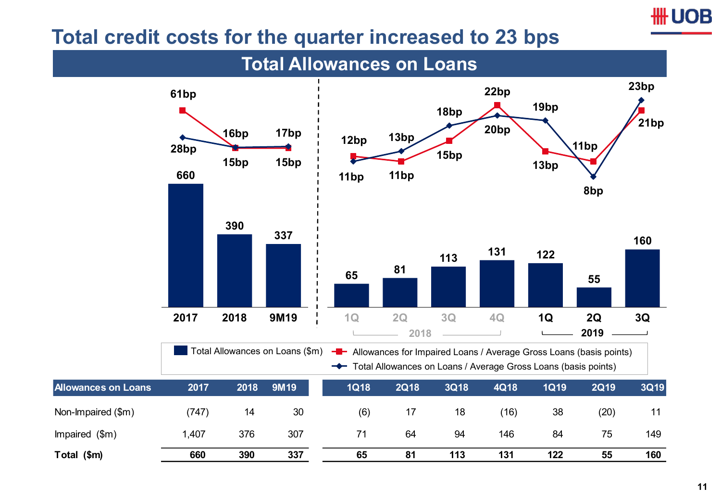#### **Total credit costs for the quarter increased to 23 bps**

**Total Allowances on Loans**

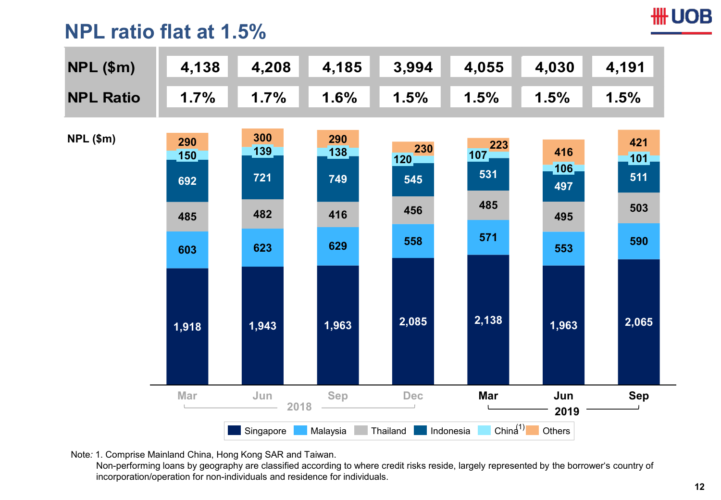#### **HH UOB**

#### **NPL ratio flat at 1.5%**

| $NPL$ (\$m)      | 4,138                           | 4,208                           | 4,185                             | 3,994                           | 4,055                           | 4,030                           | 4,191                           |
|------------------|---------------------------------|---------------------------------|-----------------------------------|---------------------------------|---------------------------------|---------------------------------|---------------------------------|
| <b>NPL Ratio</b> | 1.7%                            | 1.7%                            | 1.6%                              | 1.5%                            | 1.5%                            | 1.5%                            | 1.5%                            |
| $NPL$ (\$m)      | 290<br>150<br>692<br>485<br>603 | 300<br>139<br>721<br>482<br>623 | 290<br>[138]<br>749<br>416<br>629 | 230<br>120<br>545<br>456<br>558 | 223<br>107<br>531<br>485<br>571 | 416<br>106<br>497<br>495<br>553 | 421<br>101<br>511<br>503<br>590 |
|                  | 1,918                           | 1,943                           | 1,963                             | 2,085                           | 2,138                           | 1,963                           | 2,065                           |
|                  | Mar                             | Jun<br>2018                     | <b>Sep</b>                        | Dec                             | <b>Mar</b>                      | Jun<br>2019                     | <b>Sep</b>                      |
|                  |                                 | Singapore                       | Malaysia                          | Thailand                        | Chin $4^{(1)}$<br>Indonesia     | Others                          |                                 |

Note*:* 1. Comprise Mainland China, Hong Kong SAR and Taiwan.

Non-performing loans by geography are classified according to where credit risks reside, largely represented by the borrower's country of incorporation/operation for non-individuals and residence for individuals.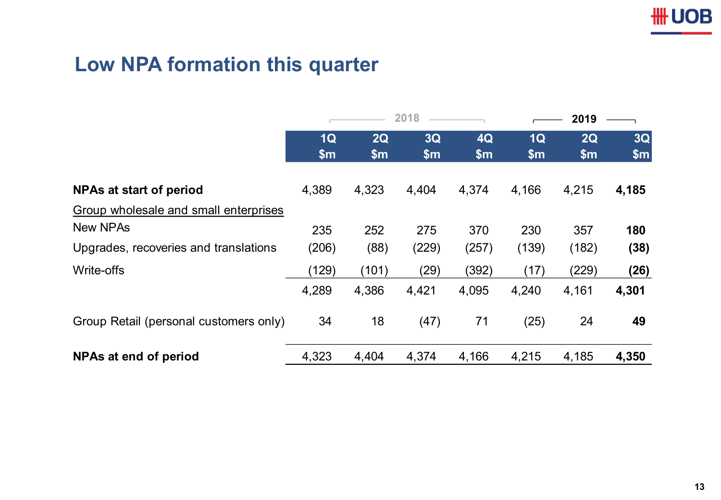## **Low NPA formation this quarter**

|                                        | 2018        |             | 2019                 |             |                                  |             |                          |
|----------------------------------------|-------------|-------------|----------------------|-------------|----------------------------------|-------------|--------------------------|
|                                        | 1Q<br>\$m\$ | 2Q<br>\$m\$ | 3Q<br>$\mathsf{S}$ m | 4Q<br>\$m\$ | 1 <sub>Q</sub><br>$\mathsf{S}$ m | 2Q<br>\$m\$ | $3\overline{Q}$<br>\$m\$ |
| NPAs at start of period                | 4,389       | 4,323       | 4,404                | 4,374       | 4,166                            | 4,215       | 4,185                    |
| Group wholesale and small enterprises  |             |             |                      |             |                                  |             |                          |
| <b>New NPAs</b>                        | 235         | 252         | 275                  | 370         | 230                              | 357         | 180                      |
| Upgrades, recoveries and translations  | (206)       | (88)        | (229)                | (257)       | (139)                            | (182)       | (38)                     |
| Write-offs                             | (129)       | (101)       | (29)                 | (392)       | (17)                             | (229)       | (26)                     |
|                                        | 4,289       | 4,386       | 4,421                | 4,095       | 4,240                            | 4,161       | 4,301                    |
| Group Retail (personal customers only) | 34          | 18          | (47)                 | 71          | (25)                             | 24          | 49                       |
| NPAs at end of period                  | 4,323       | 4,404       | 4,374                | 4,166       | 4,215                            | 4,185       | 4,350                    |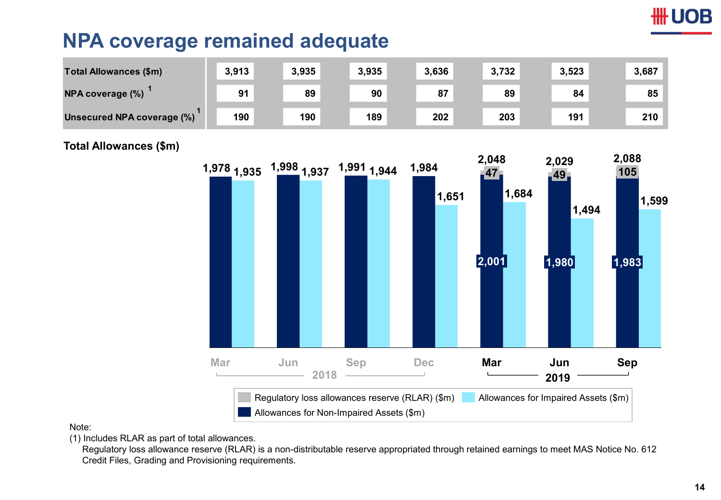# **UOB**

#### **NPA coverage remained adequate**

| <b>Total Allowances (\$m)</b> | 3,913 | 3,935 | 3,935 | 3,636 | 3,732 | 3,523 | 3,687 |
|-------------------------------|-------|-------|-------|-------|-------|-------|-------|
| NPA coverage (%)              | 91    | 89    | 90    | 87    | 89    | 84    | 85    |
| Unsecured NPA coverage (%)    | 190   | 190   | 189   | 202   | 203   | 191   | 210   |

#### **Total Allowances (\$m)**



Note:

(1) Includes RLAR as part of total allowances.

Regulatory loss allowance reserve (RLAR) is a non-distributable reserve appropriated through retained earnings to meet MAS Notice No. 612 Credit Files, Grading and Provisioning requirements.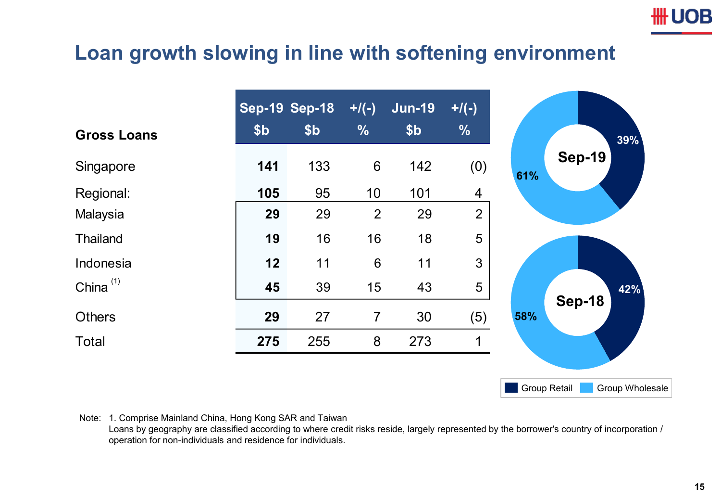

#### **Loan growth slowing in line with softening environment**

|                    | <b>Sep-19 Sep-18</b> |                 | $+/(-)$        | <b>Jun-19</b>   | $+/(-)$        |
|--------------------|----------------------|-----------------|----------------|-----------------|----------------|
| <b>Gross Loans</b> | \$ <sub>b</sub>      | \$ <sub>b</sub> | $\frac{0}{0}$  | \$ <sub>b</sub> | $\frac{0}{6}$  |
| Singapore          | 141                  | 133             | $6\phantom{1}$ | 142             | (0)            |
| Regional:          | 105                  | 95              | 10             | 101             | $\overline{4}$ |
| Malaysia           | 29                   | 29              | $\overline{2}$ | 29              | $\overline{2}$ |
| <b>Thailand</b>    | 19                   | 16              | 16             | 18              | 5              |
| Indonesia          | 12                   | 11              | $6\,$          | 11              | 3              |
| China $(1)$        | 45                   | 39              | 15             | 43              | 5              |
| <b>Others</b>      | 29                   | 27              | $\overline{7}$ | 30              | (5)            |
| <b>Total</b>       | 275                  | 255             | 8              | 273             | 1              |

Note: 1. Comprise Mainland China, Hong Kong SAR and Taiwan

Loans by geography are classified according to where credit risks reside, largely represented by the borrower's country of incorporation / operation for non-individuals and residence for individuals.

Group Retail Group Wholesale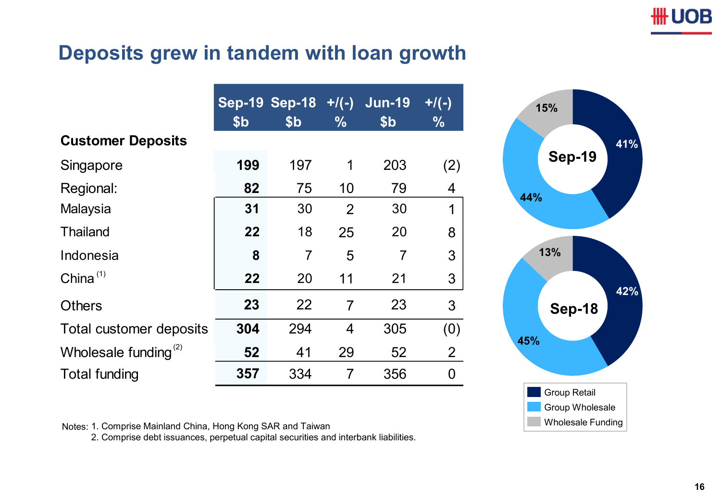#### **Deposits grew in tandem with loan growth**

|                                  | \$b | Sep-19 Sep-18 +/(-) Jun-19<br>\$b | $\frac{9}{6}$  | \$ <sub>b</sub> | $+$ /(-)<br>$\frac{9}{6}$ |
|----------------------------------|-----|-----------------------------------|----------------|-----------------|---------------------------|
| <b>Customer Deposits</b>         |     |                                   |                |                 |                           |
| Singapore                        | 199 | 197                               | 1              | 203             | (2)                       |
| Regional:                        | 82  | 75                                | 10             | 79              | 4                         |
| Malaysia                         | 31  | 30                                | $\overline{2}$ | 30              | $\mathbf 1$               |
| <b>Thailand</b>                  | 22  | 18                                | 25             | 20              | 8                         |
| Indonesia                        | 8   | $\overline{7}$                    | 5              | 7               | 3                         |
| China $(1)$                      | 22  | 20                                | 11             | 21              | 3                         |
| <b>Others</b>                    | 23  | 22                                | $\overline{7}$ | 23              | 3                         |
| Total customer deposits          | 304 | 294                               | 4              | 305             | (0)                       |
| Wholesale funding <sup>(2)</sup> | 52  | 41                                | 29             | 52              | $\overline{2}$            |
| <b>Total funding</b>             | 357 | 334                               | 7              | 356             | 0                         |



Notes: 1. Comprise Mainland China, Hong Kong SAR and Taiwan

2. Comprise debt issuances, perpetual capital securities and interbank liabilities.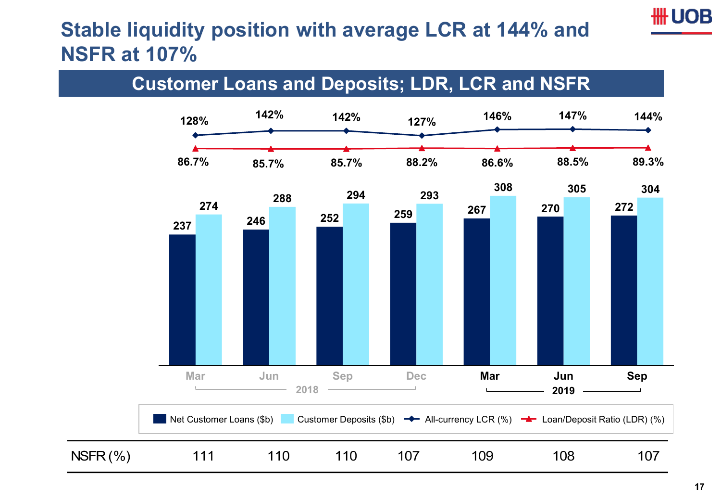## **III UOB**

## **Stable liquidity position with average LCR at 144% and NSFR at 107%**

#### **Customer Loans and Deposits; LDR, LCR and NSFR**

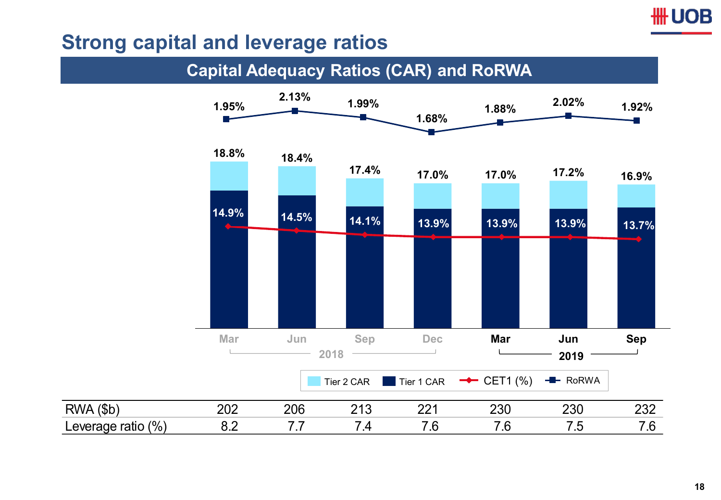#### **HH UOB**

#### **Strong capital and leverage ratios**

#### **Capital Adequacy Ratios (CAR) and RoRWA**

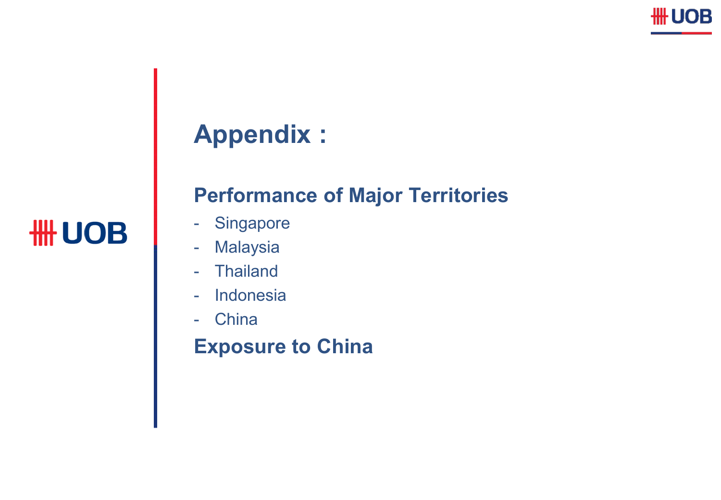

# **Appendix :**

### **Performance of Major Territories**

- Singapore
- Malaysia
- Thailand
- Indonesia
- China

# **Exposure to China**

**HH UOB**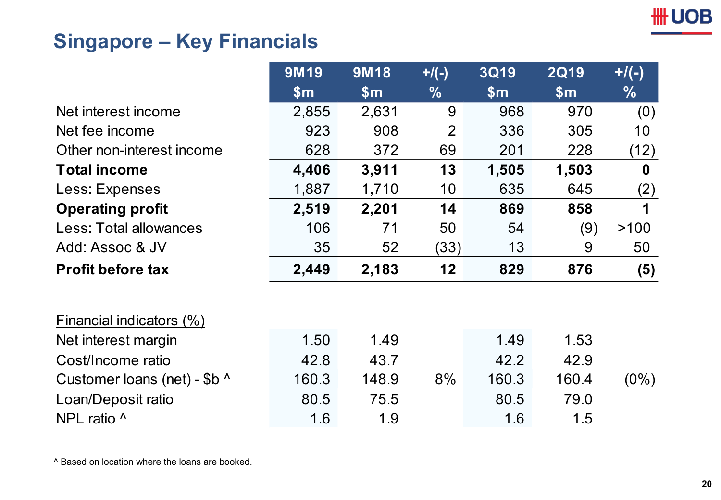## **Singapore – Key Financials**

|                               | 9M19          | <b>9M18</b>    | $+$ /(-)       | <b>3Q19</b> | <b>2Q19</b>    | $+/(-)$  |
|-------------------------------|---------------|----------------|----------------|-------------|----------------|----------|
|                               | $\mathsf{Sm}$ | $\mathsf{S}$ m | $\frac{9}{6}$  | \$m\$       | $\mathsf{S}$ m | $\%$     |
| Net interest income           | 2,855         | 2,631          | 9              | 968         | 970            | (0)      |
| Net fee income                | 923           | 908            | $\overline{2}$ | 336         | 305            | 10       |
| Other non-interest income     | 628           | 372            | 69             | 201         | 228            | (12)     |
| <b>Total income</b>           | 4,406         | 3,911          | 13             | 1,505       | 1,503          | $\bf{0}$ |
| Less: Expenses                | 1,887         | 1,710          | 10             | 635         | 645            | (2)      |
| <b>Operating profit</b>       | 2,519         | 2,201          | 14             | 869         | 858            | 1        |
| <b>Less: Total allowances</b> | 106           | 71             | 50             | 54          | (9)            | >100     |
| Add: Assoc & JV               | 35            | 52             | (33)           | 13          | 9              | 50       |
| <b>Profit before tax</b>      | 2,449         | 2,183          | 12             | 829         | 876            | (5)      |
| Financial indicators (%)      |               |                |                |             |                |          |
| Net interest margin           | 1.50          | 1.49           |                | 1.49        | 1.53           |          |
| Cost/Income ratio             | 42.8          | 43.7           |                | 42.2        | 42.9           |          |
| Customer loans (net) - \$b ^  | 160.3         | 148.9          | 8%             | 160.3       | 160.4          | $(0\%)$  |
| Loan/Deposit ratio            | 80.5          | 75.5           |                | 80.5        | 79.0           |          |
| NPL ratio ^                   | 1.6           | 1.9            |                | 1.6         | 1.5            |          |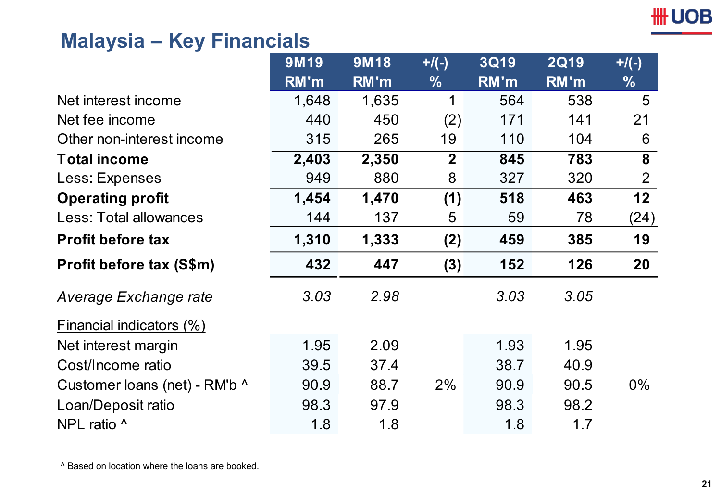#### **Malaysia – Key Financials**

|                               | 9M19  | 9M18  | $+$ /(-)       | <b>3Q19</b> | <b>2Q19</b> | $+$ /(-)       |
|-------------------------------|-------|-------|----------------|-------------|-------------|----------------|
|                               | RM'm  | RM'm  | $\frac{0}{0}$  | RM'm        | RM'm        | $\frac{0}{6}$  |
| Net interest income           | 1,648 | 1,635 | 1              | 564         | 538         | 5              |
| Net fee income                | 440   | 450   | (2)            | 171         | 141         | 21             |
| Other non-interest income     | 315   | 265   | 19             | 110         | 104         | 6              |
| <b>Total income</b>           | 2,403 | 2,350 | $\overline{2}$ | 845         | 783         | 8              |
| Less: Expenses                | 949   | 880   | 8              | 327         | 320         | $\overline{2}$ |
| <b>Operating profit</b>       | 1,454 | 1,470 | (1)            | 518         | 463         | 12             |
| <b>Less: Total allowances</b> | 144   | 137   | 5              | 59          | 78          | (24)           |
| <b>Profit before tax</b>      | 1,310 | 1,333 | (2)            | 459         | 385         | 19             |
| Profit before tax (S\$m)      | 432   | 447   | (3)            | 152         | 126         | 20             |
| Average Exchange rate         | 3.03  | 2.98  |                | 3.03        | 3.05        |                |
| Financial indicators (%)      |       |       |                |             |             |                |
| Net interest margin           | 1.95  | 2.09  |                | 1.93        | 1.95        |                |
| Cost/Income ratio             | 39.5  | 37.4  |                | 38.7        | 40.9        |                |
| Customer loans (net) - RM'b ^ | 90.9  | 88.7  | 2%             | 90.9        | 90.5        | $0\%$          |
| Loan/Deposit ratio            | 98.3  | 97.9  |                | 98.3        | 98.2        |                |
| NPL ratio ^                   | 1.8   | 1.8   |                | 1.8         | 1.7         |                |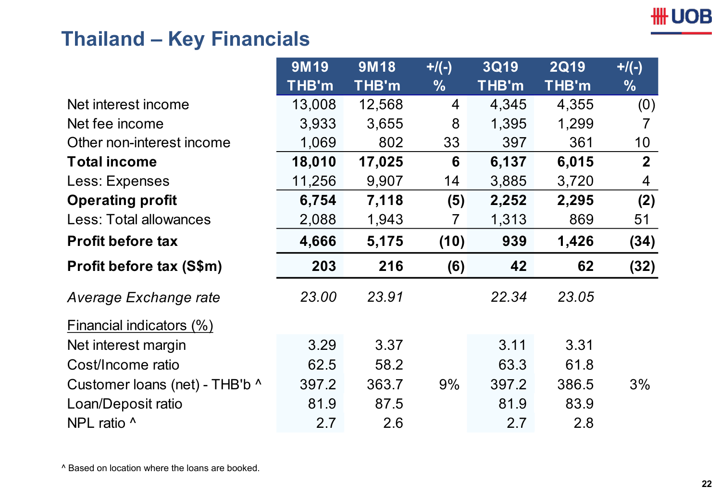#### **Thailand – Key Financials**

|                                | 9M19   | 9M18   | $+$ /(-)      | <b>3Q19</b> | <b>2Q19</b> | $+$ /(-)       |
|--------------------------------|--------|--------|---------------|-------------|-------------|----------------|
|                                | THB'm  | THB'm  | $\frac{0}{0}$ | THB'm       | THB'm       | $\frac{0}{0}$  |
| Net interest income            | 13,008 | 12,568 | 4             | 4,345       | 4,355       | (0)            |
| Net fee income                 | 3,933  | 3,655  | 8             | 1,395       | 1,299       | 7              |
| Other non-interest income      | 1,069  | 802    | 33            | 397         | 361         | 10             |
| <b>Total income</b>            | 18,010 | 17,025 | 6             | 6,137       | 6,015       | $\overline{2}$ |
| Less: Expenses                 | 11,256 | 9,907  | 14            | 3,885       | 3,720       | 4              |
| <b>Operating profit</b>        | 6,754  | 7,118  | (5)           | 2,252       | 2,295       | (2)            |
| Less: Total allowances         | 2,088  | 1,943  | 7             | 1,313       | 869         | 51             |
| <b>Profit before tax</b>       | 4,666  | 5,175  | (10)          | 939         | 1,426       | (34)           |
| Profit before tax (S\$m)       | 203    | 216    | (6)           | 42          | 62          | (32)           |
| Average Exchange rate          | 23.00  | 23.91  |               | 22.34       | 23.05       |                |
| Financial indicators (%)       |        |        |               |             |             |                |
| Net interest margin            | 3.29   | 3.37   |               | 3.11        | 3.31        |                |
| Cost/Income ratio              | 62.5   | 58.2   |               | 63.3        | 61.8        |                |
| Customer loans (net) - THB'b ^ | 397.2  | 363.7  | 9%            | 397.2       | 386.5       | 3%             |
| Loan/Deposit ratio             | 81.9   | 87.5   |               | 81.9        | 83.9        |                |
| NPL ratio ^                    | 2.7    | 2.6    |               | 2.7         | 2.8         |                |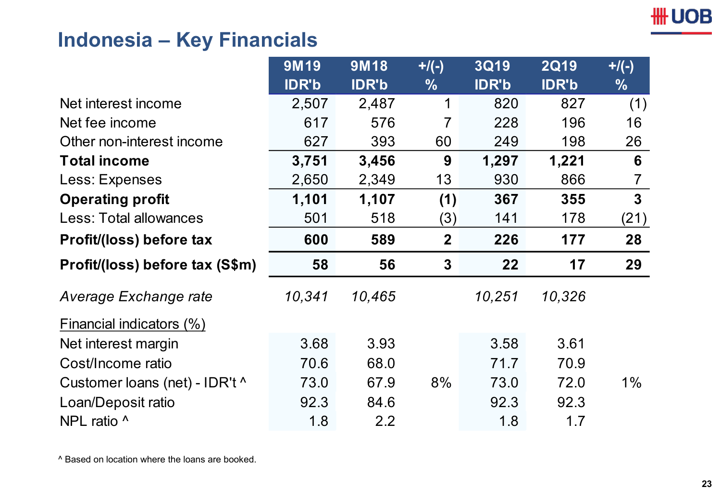## **Indonesia – Key Financials**

|                                 | 9M19         | 9M18         | $+$ /(-)       | <b>3Q19</b>  | <b>2Q19</b>  | $+$ /(-)      |
|---------------------------------|--------------|--------------|----------------|--------------|--------------|---------------|
|                                 | <b>IDR'b</b> | <b>IDR'b</b> | $\frac{0}{0}$  | <b>IDR'b</b> | <b>IDR'b</b> | $\frac{0}{0}$ |
| Net interest income             | 2,507        | 2,487        | 1              | 820          | 827          | (1)           |
| Net fee income                  | 617          | 576          | 7              | 228          | 196          | 16            |
| Other non-interest income       | 627          | 393          | 60             | 249          | 198          | 26            |
| <b>Total income</b>             | 3,751        | 3,456        | 9              | 1,297        | 1,221        | 6             |
| Less: Expenses                  | 2,650        | 2,349        | 13             | 930          | 866          | 7             |
| <b>Operating profit</b>         | 1,101        | 1,107        | (1)            | 367          | 355          | $\mathbf{3}$  |
| <b>Less: Total allowances</b>   | 501          | 518          | (3)            | 141          | 178          | (21)          |
| Profit/(loss) before tax        | 600          | 589          | $\overline{2}$ | 226          | 177          | 28            |
| Profit/(loss) before tax (S\$m) | 58           | 56           | $\mathbf{3}$   | 22           | 17           | 29            |
| Average Exchange rate           | 10,341       | 10,465       |                | 10,251       | 10,326       |               |
| Financial indicators (%)        |              |              |                |              |              |               |
| Net interest margin             | 3.68         | 3.93         |                | 3.58         | 3.61         |               |
| Cost/Income ratio               |              |              |                |              |              |               |
|                                 | 70.6         | 68.0         |                | 71.7         | 70.9         |               |
| Customer loans (net) - IDR't ^  | 73.0         | 67.9         | 8%             | 73.0         | 72.0         | $1\%$         |
| Loan/Deposit ratio              | 92.3         | 84.6         |                | 92.3         | 92.3         |               |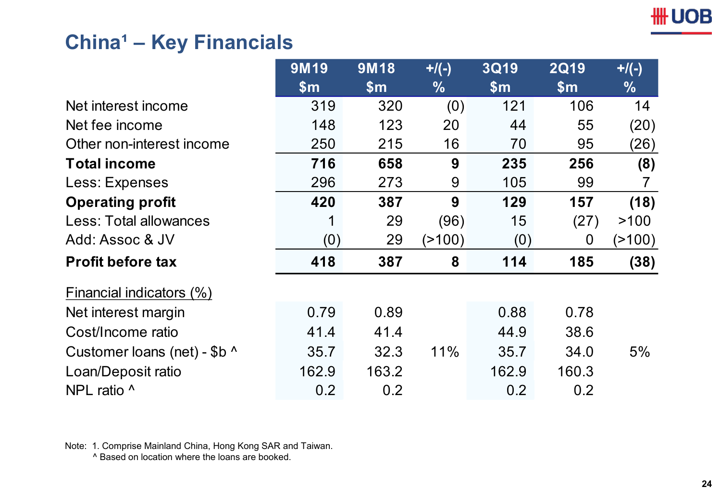## **China<sup>1</sup> - Key Financials**

|                              | <b>9M19</b>   | <b>9M18</b>   | $+$ /(-)      | <b>3Q19</b>   | <b>2Q19</b>   | $+$ /(-)      |
|------------------------------|---------------|---------------|---------------|---------------|---------------|---------------|
|                              | $\mathsf{Sm}$ | $\mathsf{Sm}$ | $\frac{0}{0}$ | $\mathsf{Sm}$ | $\mathsf{Sm}$ | $\frac{9}{6}$ |
| Net interest income          | 319           | 320           | (0)           | 121           | 106           | 14            |
| Net fee income               | 148           | 123           | 20            | 44            | 55            | (20)          |
| Other non-interest income    | 250           | 215           | 16            | 70            | 95            | (26)          |
| <b>Total income</b>          | 716           | 658           | 9             | 235           | 256           | (8)           |
| Less: Expenses               | 296           | 273           | 9             | 105           | 99            |               |
| <b>Operating profit</b>      | 420           | 387           | 9             | 129           | 157           | (18)          |
| Less: Total allowances       |               | 29            | (96)          | 15            | (27)          | >100          |
| Add: Assoc & JV              | (0)           | 29            | ( > 100)      | (0)           | 0             | (2100)        |
| <b>Profit before tax</b>     | 418           | 387           | 8             | 114           | 185           | (38)          |
| Financial indicators (%)     |               |               |               |               |               |               |
| Net interest margin          | 0.79          | 0.89          |               | 0.88          | 0.78          |               |
| Cost/Income ratio            | 41.4          | 41.4          |               | 44.9          | 38.6          |               |
| Customer loans (net) - \$b ^ | 35.7          | 32.3          | 11%           | 35.7          | 34.0          | 5%            |
| Loan/Deposit ratio           | 162.9         | 163.2         |               | 162.9         | 160.3         |               |
| NPL ratio ^                  | 0.2           | 0.2           |               | 0.2           | 0.2           |               |

Note: 1. Comprise Mainland China, Hong Kong SAR and Taiwan.